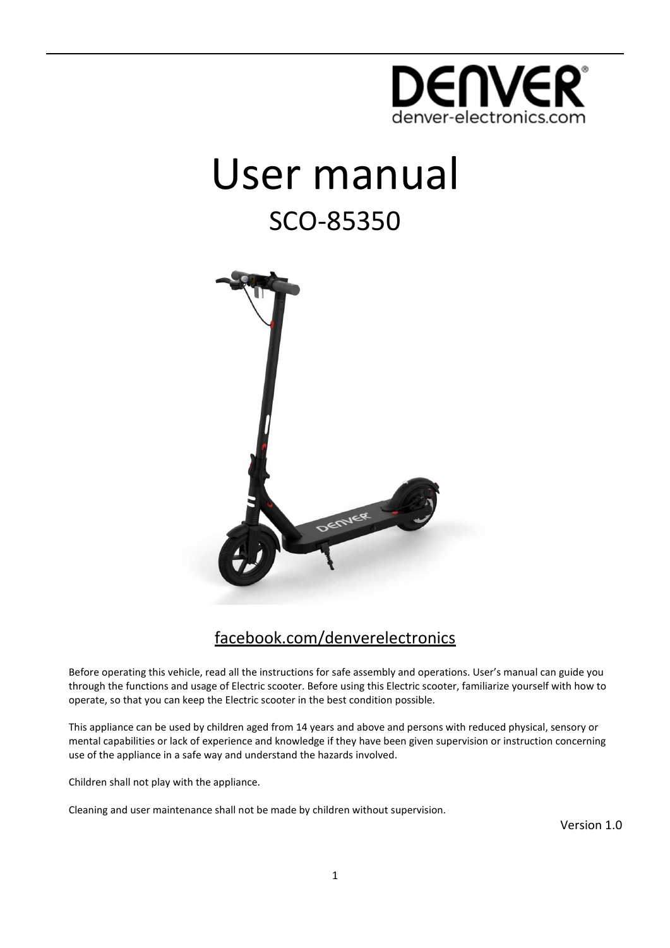

# User manual SCO-85350



### facebook.com/denverelectronics

Before operating this vehicle, read all the instructions for safe assembly and operations. User's manual can guide you through the functions and usage of Electric scooter. Before using this Electric scooter, familiarize yourself with how to operate, so that you can keep the Electric scooter in the best condition possible.

This appliance can be used by children aged from 14 years and above and persons with reduced physical, sensory or mental capabilities or lack of experience and knowledge if they have been given supervision or instruction concerning use of the appliance in a safe way and understand the hazards involved.

Children shall not play with the appliance.

Cleaning and user maintenance shall not be made by children without supervision.

Version 1.0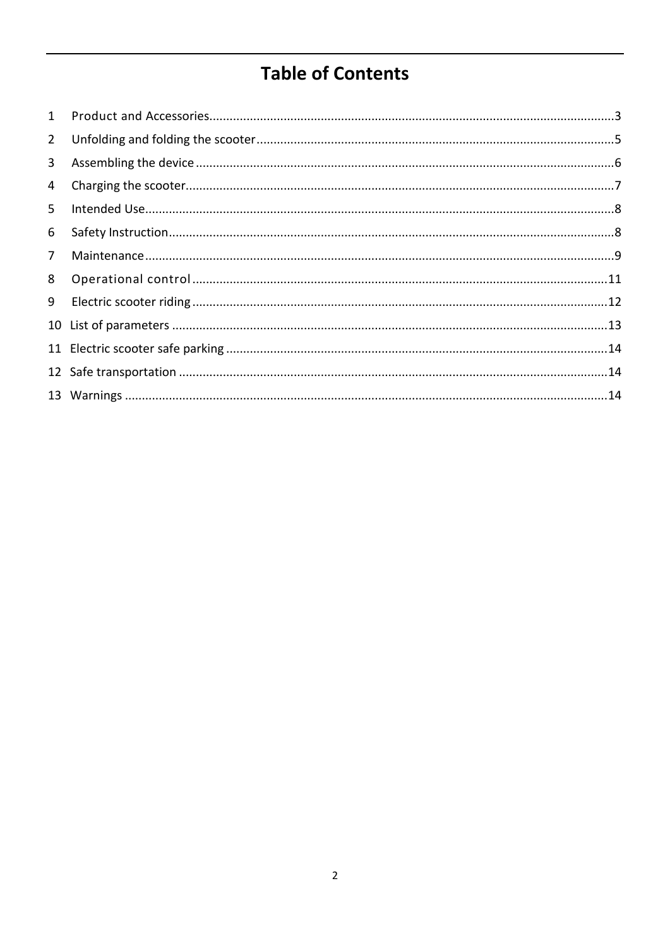### **Table of Contents**

| $\overline{2}$ |  |
|----------------|--|
| 3              |  |
| 4              |  |
| 5              |  |
| 6              |  |
| 7 <sup>7</sup> |  |
| 8              |  |
| 9              |  |
|                |  |
|                |  |
|                |  |
|                |  |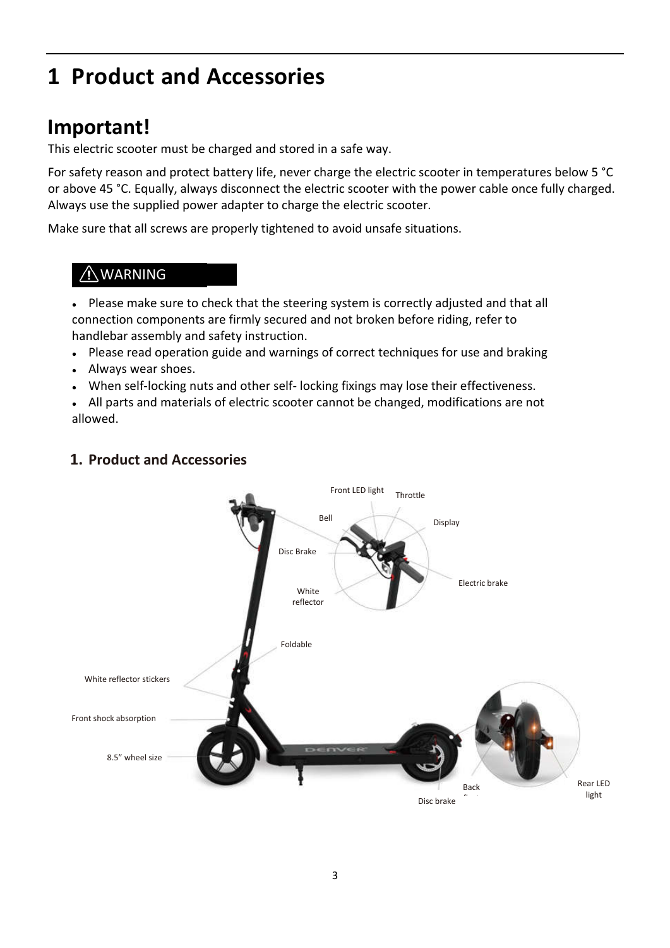# **1 Product and Accessories**

### **Important!**

This electric scooter must be charged and stored in a safe way.

For safety reason and protect battery life, never charge the electric scooter in temperatures below 5 °C or above 45 °C. Equally, always disconnect the electric scooter with the power cable once fully charged. Always use the supplied power adapter to charge the electric scooter.

Make sure that all screws are properly tightened to avoid unsafe situations.

### A WARNING

• Please make sure to check that the steering system is correctly adjusted and that all connection components are firmly secured and not broken before riding, refer to handlebar assembly and safety instruction.

- Please read operation guide and warnings of correct techniques for use and braking
- Always wear shoes.
- When self-locking nuts and other self-locking fixings may lose their effectiveness.

• All parts and materials of electric scooter cannot be changed, modifications are not allowed.



#### **1. Product and Accessories**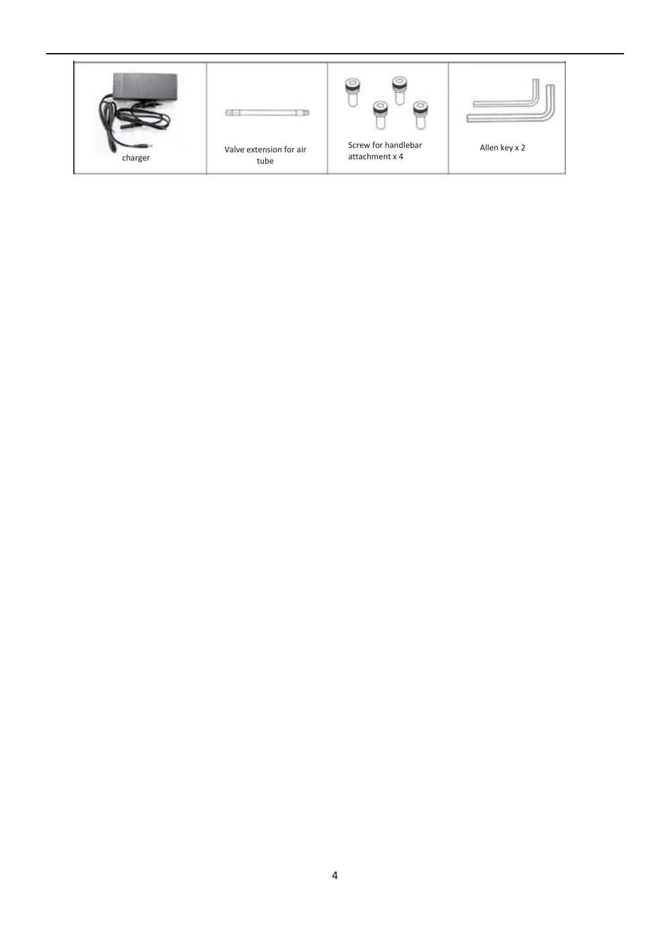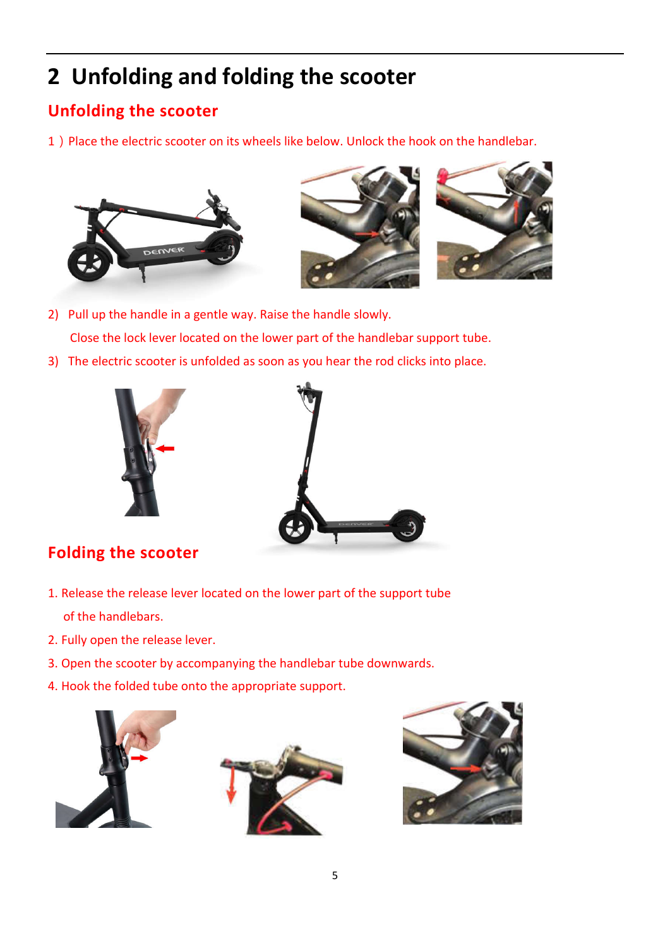# **2 Unfolding and folding the scooter**

### **Unfolding the scooter**

1) Place the electric scooter on its wheels like below. Unlock the hook on the handlebar.







- 2) Pull up the handle in a gentle way. Raise the handle slowly. Close the lock lever located on the lower part of the handlebar support tube.
- 3) The electric scooter is unfolded as soon as you hear the rod clicks into place.





### **Folding the scooter**

- 1. Release the release lever located on the lower part of the support tube of the handlebars.
- 2. Fully open the release lever.
- 3. Open the scooter by accompanying the handlebar tube downwards.
- 4. Hook the folded tube onto the appropriate support.





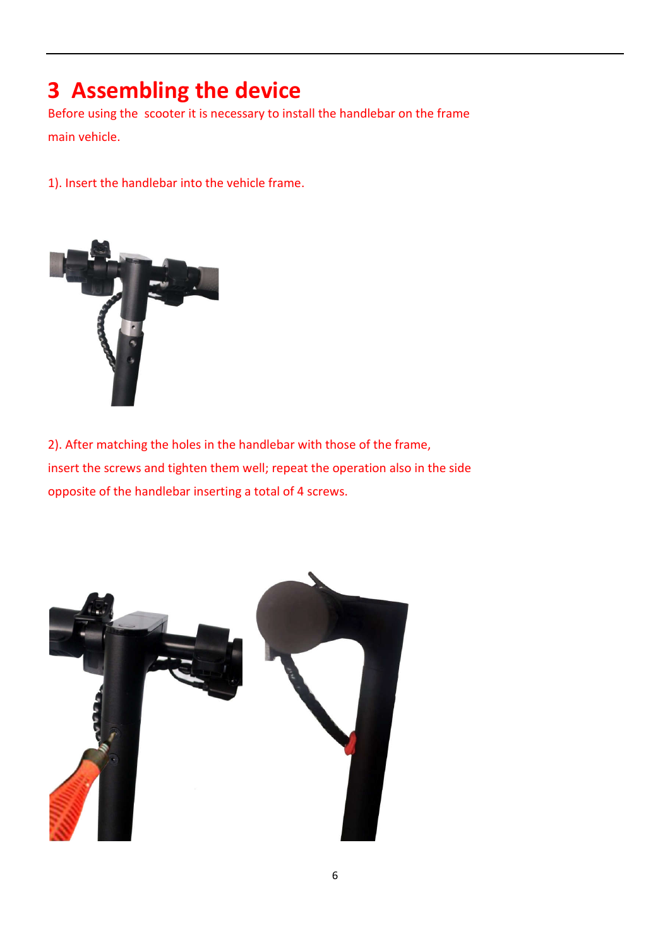### **3 Assembling the device**

Before using the scooter it is necessary to install the handlebar on the frame main vehicle.

1). Insert the handlebar into the vehicle frame.



2). After matching the holes in the handlebar with those of the frame, insert the screws and tighten them well; repeat the operation also in the side opposite of the handlebar inserting a total of 4 screws.

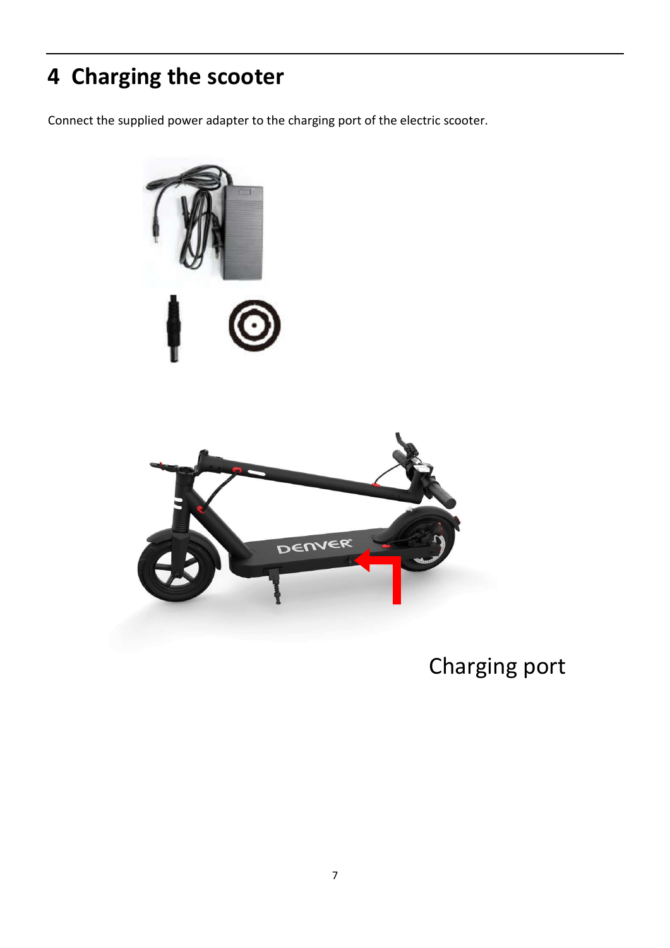# **<sup>4</sup> Charging the scooter**

Connect the supplied power adapter to the charging port of the electric scooter.



### Charging port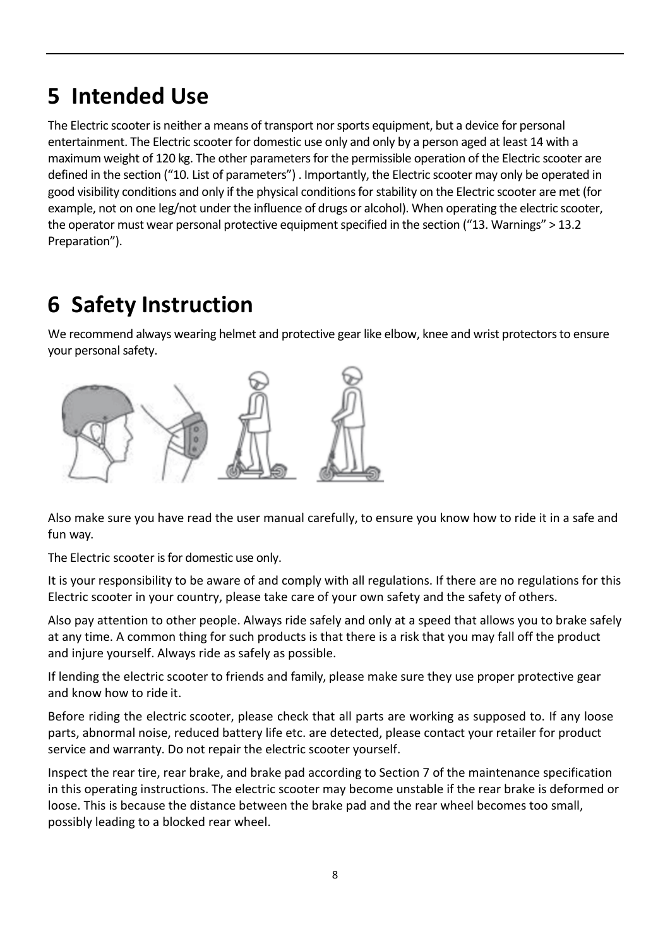# **5 Intended Use**

The Electric scooter is neither a means of transport nor sports equipment, but a device for personal entertainment. The Electric scooter for domestic use only and only by a person aged at least 14 with a maximum weight of 120 kg. The other parameters for the permissible operation of the Electric scooter are defined in the section ("10. List of parameters") . Importantly, the Electric scooter may only be operated in good visibility conditions and only if the physical conditions for stability on the Electric scooter are met (for example, not on one leg/not under the influence of drugs or alcohol). When operating the electric scooter, the operator must wear personal protective equipment specified in the section ("13. Warnings" > 13.2 Preparation").

# **6 Safety Instruction**

We recommend always wearing helmet and protective gear like elbow, knee and wrist protectors to ensure your personal safety.



Also make sure you have read the user manual carefully, to ensure you know how to ride it in a safe and fun way.

The Electric scooter is for domestic use only.

It is your responsibility to be aware of and comply with all regulations. If there are no regulations for this Electric scooter in your country, please take care of your own safety and the safety of others.

Also pay attention to other people. Always ride safely and only at a speed that allows you to brake safely at any time. A common thing for such products is that there is a risk that you may fall off the product and injure yourself. Always ride as safely as possible.

If lending the electric scooter to friends and family, please make sure they use proper protective gear and know how to ride it.

Before riding the electric scooter, please check that all parts are working as supposed to. If any loose parts, abnormal noise, reduced battery life etc. are detected, please contact your retailer for product service and warranty. Do not repair the electric scooter yourself.

Inspect the rear tire, rear brake, and brake pad according to Section 7 of the maintenance specification in this operating instructions. The electric scooter may become unstable if the rear brake is deformed or loose. This is because the distance between the brake pad and the rear wheel becomes too small, possibly leading to a blocked rear wheel.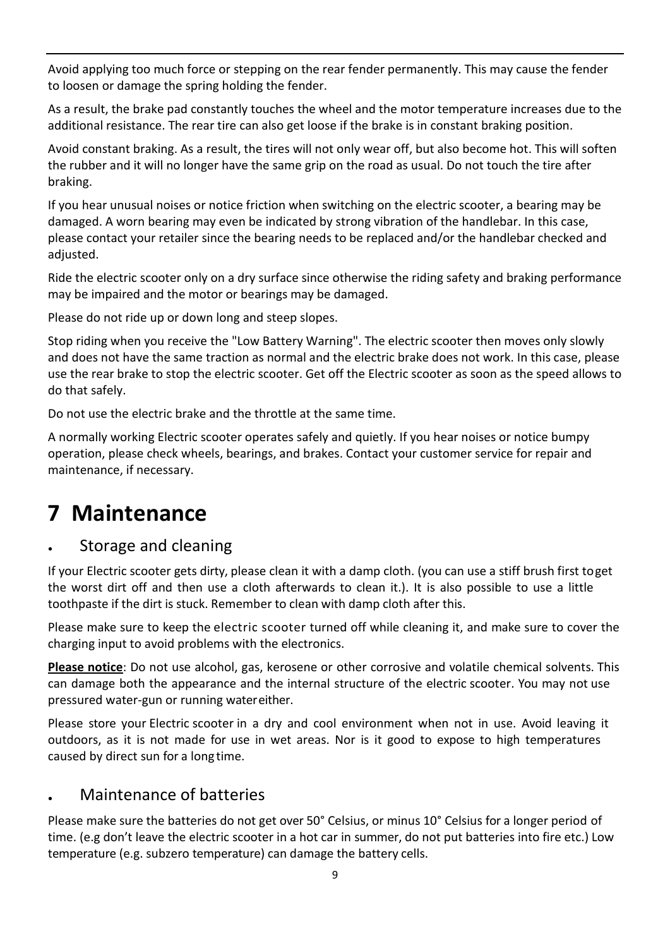Avoid applying too much force or stepping on the rear fender permanently. This may cause the fender to loosen or damage the spring holding the fender.

As a result, the brake pad constantly touches the wheel and the motor temperature increases due to the additional resistance. The rear tire can also get loose if the brake is in constant braking position.

Avoid constant braking. As a result, the tires will not only wear off, but also become hot. This will soften the rubber and it will no longer have the same grip on the road as usual. Do not touch the tire after braking.

If you hear unusual noises or notice friction when switching on the electric scooter, a bearing may be damaged. A worn bearing may even be indicated by strong vibration of the handlebar. In this case, please contact your retailer since the bearing needs to be replaced and/or the handlebar checked and adjusted.

Ride the electric scooter only on a dry surface since otherwise the riding safety and braking performance may be impaired and the motor or bearings may be damaged.

Please do not ride up or down long and steep slopes.

Stop riding when you receive the "Low Battery Warning". The electric scooter then moves only slowly and does not have the same traction as normal and the electric brake does not work. In this case, please use the rear brake to stop the electric scooter. Get off the Electric scooter as soon as the speed allows to do that safely.

Do not use the electric brake and the throttle at the same time.

A normally working Electric scooter operates safely and quietly. If you hear noises or notice bumpy operation, please check wheels, bearings, and brakes. Contact your customer service for repair and maintenance, if necessary.

### **7 Maintenance**

### Storage and cleaning

If your Electric scooter gets dirty, please clean it with a damp cloth. (you can use a stiff brush first toget the worst dirt off and then use a cloth afterwards to clean it.). It is also possible to use a little toothpaste if the dirt is stuck. Remember to clean with damp cloth after this.

Please make sure to keep the electric scooter turned off while cleaning it, and make sure to cover the charging input to avoid problems with the electronics.

**Please notice**: Do not use alcohol, gas, kerosene or other corrosive and volatile chemical solvents. This can damage both the appearance and the internal structure of the electric scooter. You may not use pressured water-gun or running watereither.

Please store your Electric scooter in a dry and cool environment when not in use. Avoid leaving it outdoors, as it is not made for use in wet areas. Nor is it good to expose to high temperatures caused by direct sun for a long time.

### Maintenance of batteries

Please make sure the batteries do not get over 50° Celsius, or minus 10° Celsius for a longer period of time. (e.g don't leave the electric scooter in a hot car in summer, do not put batteries into fire etc.) Low temperature (e.g. subzero temperature) can damage the battery cells.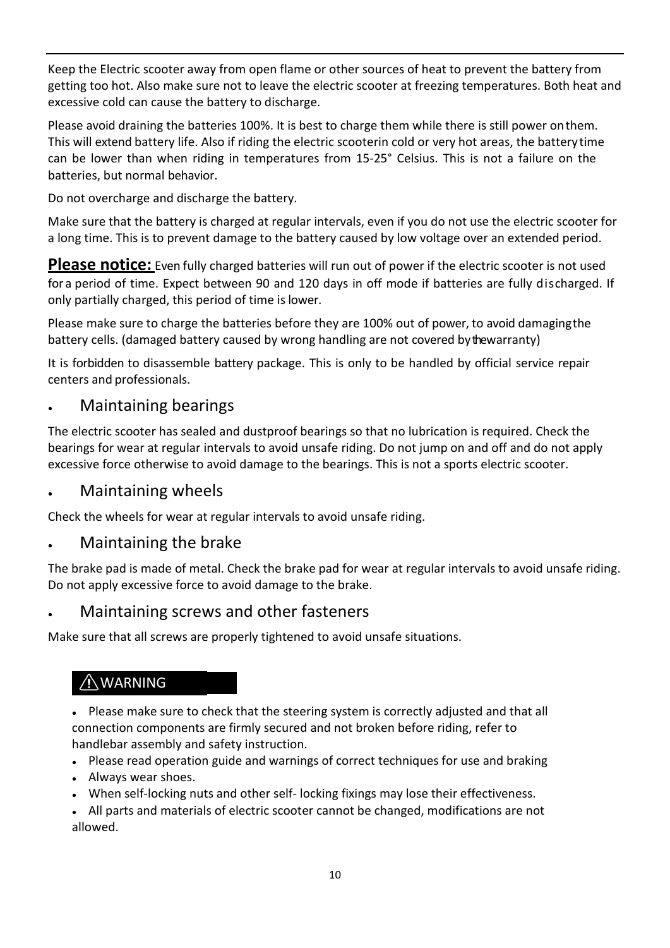Keep the Electric scooter away from open flame or other sources of heat to prevent the battery from getting too hot. Also make sure not to leave the electric scooter at freezing temperatures. Both heat and excessive cold can cause the battery to discharge.

Please avoid draining the batteries 100%. It is best to charge them while there is still power onthem. This will extend battery life. Also if riding the electric scooterin cold or very hot areas, the batterytime can be lower than when riding in temperatures from 15-25° Celsius. This is not a failure on the batteries, but normal behavior.

Do not overcharge and discharge the battery.

Make sure that the battery is charged at regular intervals, even if you do not use the electric scooter for a long time. This is to prevent damage to the battery caused by low voltage over an extended period.

Please notice: Even fully charged batteries will run out of power if the electric scooter is not used for a period of time. Expect between 90 and 120 days in off mode if batteries are fully discharged. If only partially charged, this period of time is lower.

Please make sure to charge the batteries before they are 100% out of power, to avoid damagingthe battery cells. (damaged battery caused by wrong handling are not covered by the warranty)

It is forbidden to disassemble battery package. This is only to be handled by official service repair centers and professionals.

### **Maintaining bearings**

The electric scooter has sealed and dustproof bearings so that no lubrication is required. Check the bearings for wear at regular intervals to avoid unsafe riding. Do not jump on and off and do not apply excessive force otherwise to avoid damage to the bearings. This is not a sports electric scooter.

#### **Maintaining wheels**

Check the wheels for wear at regular intervals to avoid unsafe riding.

### Maintaining the brake

The brake pad is made of metal. Check the brake pad for wear at regular intervals to avoid unsafe riding. Do not apply excessive force to avoid damage to the brake.

#### • Maintaining screws and other fasteners

Make sure that all screws are properly tightened to avoid unsafe situations.

### WARNING

• Please make sure to check that the steering system is correctly adjusted and that all connection components are firmly secured and not broken before riding, refer to handlebar assembly and safety instruction.

- Please read operation guide and warnings of correct techniques for use and braking
- Always wear shoes.
- When self-locking nuts and other self-locking fixings may lose their effectiveness.
- All parts and materials of electric scooter cannot be changed, modifications are not allowed.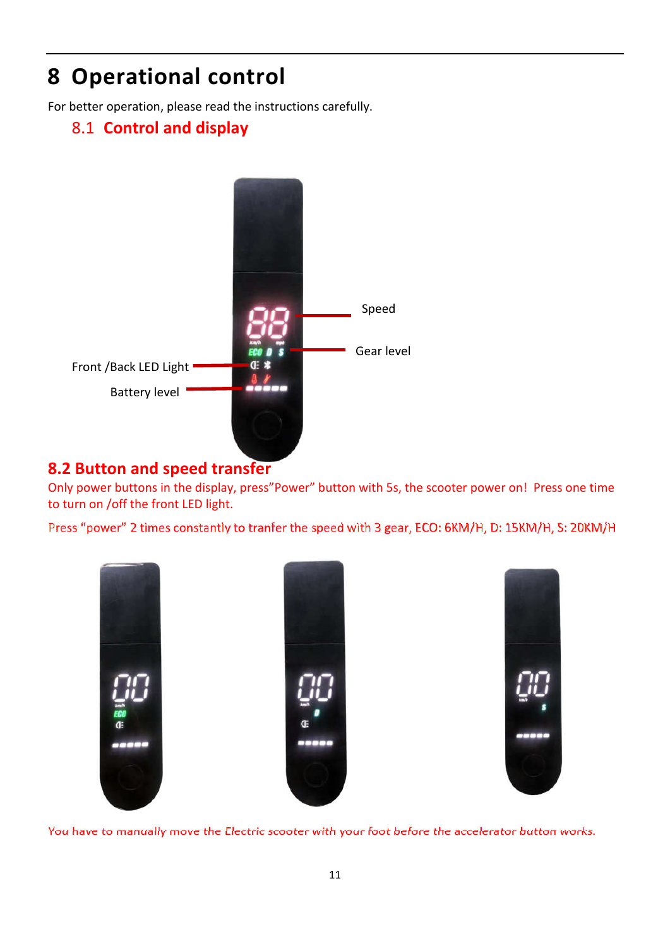# **8 Operational control**

For better operation, please read the instructions carefully.

### 8.1 **Control and display**



### **8.2 Button and speed transfer**

Only power buttons in the display, press"Power" button with 5s, the scooter power on! Press one time to turn on /off the front LED light.

Press "power" 2 times constantly to tranfer the speed with 3 gear, ECO: 6KM/H, D: 15KM/H, S: 20KM/H



You have to manually move the Electric scooter with your foot before the accelerator button works.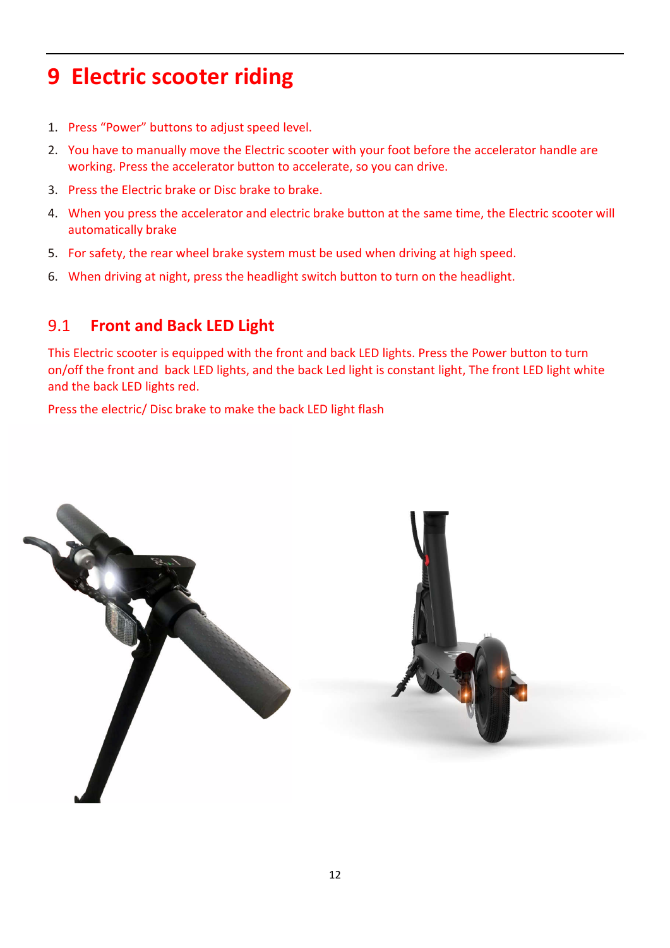# **9 Electric scooter riding**

- 1. Press "Power" buttons to adjust speed level.
- 2. You have to manually move the Electric scooter with your foot before the accelerator handle are working. Press the accelerator button to accelerate, so you can drive.
- 3. Press the Electric brake or Disc brake to brake.
- 4. When you press the accelerator and electric brake button at the same time, the Electric scooter will automatically brake
- 5. For safety, the rear wheel brake system must be used when driving at high speed.
- 6. When driving at night, press the headlight switch button to turn on the headlight.

### 9.1 **Front and Back LED Light**

This Electric scooter is equipped with the front and back LED lights. Press the Power button to turn on/off the front and back LED lights, and the back Led light is constant light, The front LED light white and the back LED lights red.

Press the electric/ Disc brake to make the back LED light flash

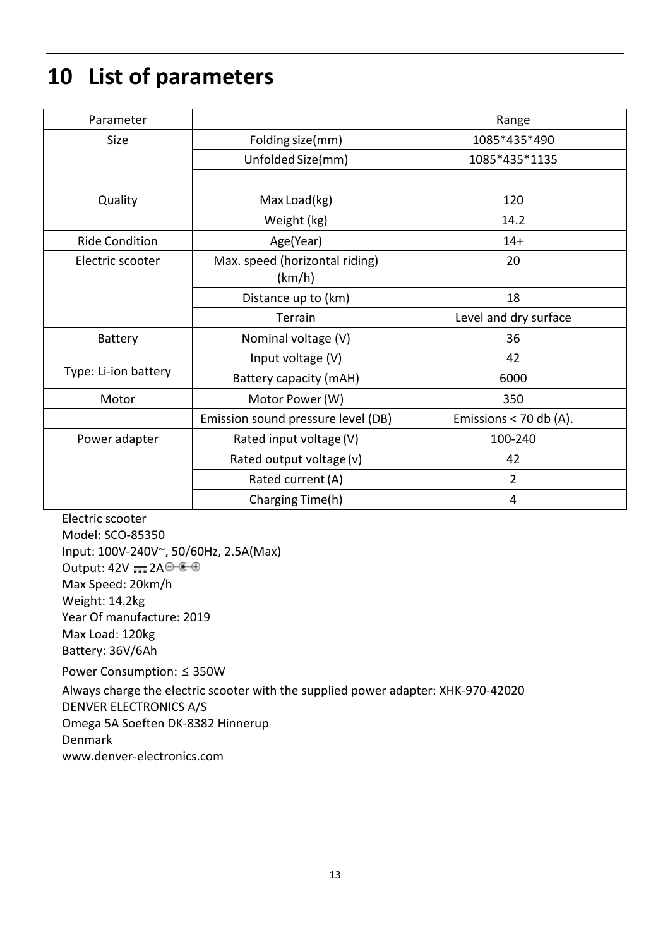# **10 List of parameters**

| Parameter             |                                    | Range                    |
|-----------------------|------------------------------------|--------------------------|
| Size                  | Folding size(mm)                   | 1085*435*490             |
|                       | Unfolded Size(mm)                  | 1085*435*1135            |
|                       |                                    |                          |
| Quality               | Max Load(kg)                       | 120                      |
|                       | Weight (kg)                        | 14.2                     |
| <b>Ride Condition</b> | Age(Year)                          | $14+$                    |
| Electric scooter      | Max. speed (horizontal riding)     | 20                       |
|                       | (km/h)                             |                          |
|                       | Distance up to (km)                | 18                       |
|                       | Terrain                            | Level and dry surface    |
| <b>Battery</b>        | Nominal voltage (V)                | 36                       |
|                       | Input voltage (V)                  | 42                       |
| Type: Li-ion battery  | Battery capacity (mAH)             | 6000                     |
| Motor                 | Motor Power (W)                    | 350                      |
|                       | Emission sound pressure level (DB) | Emissions $<$ 70 db (A). |
| Power adapter         | Rated input voltage (V)            | 100-240                  |
|                       | Rated output voltage (v)           | 42                       |
|                       | Rated current (A)                  | $\overline{2}$           |
|                       | Charging Time(h)                   | 4                        |

Electric scooter Model: SCO-85350 Input: 100V-240V~, 50/60Hz, 2.5A(Max) Output:  $42V = 2A \oplus 60$ Max Speed: 20km/h Weight: 14.2kg Year Of manufacture: 2019 Max Load: 120kg Battery: 36V/6Ah

Power Consumption: ≤ 350W Always charge the electric scooter with the supplied power adapter: XHK-970-42020 DENVER ELECTRONICS A/S Omega 5A Soeften DK-8382 Hinnerup Denmark www.denver-electronics.com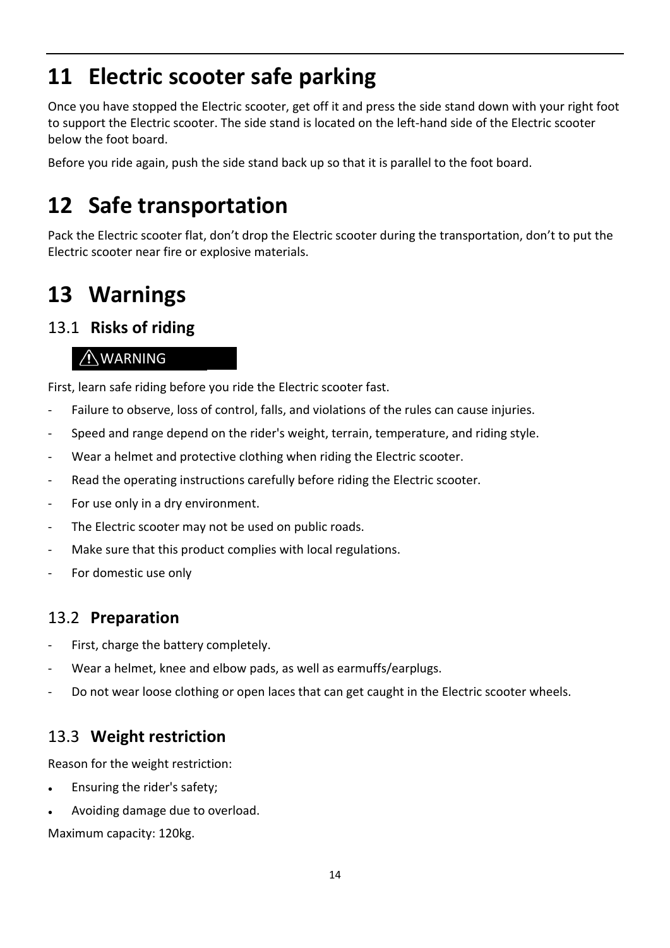# **11 Electric scooter safe parking**

Once you have stopped the Electric scooter, get off it and press the side stand down with your right foot to support the Electric scooter. The side stand is located on the left-hand side of the Electric scooter below the foot board.

Before you ride again, push the side stand back up so that it is parallel to the foot board.

### **12 Safe transportation**

Pack the Electric scooter flat, don't drop the Electric scooter during the transportation, don't to put the Electric scooter near fire or explosive materials.

# **13 Warnings**

### 13.1 **Risks of riding**

### AWARNING

First, learn safe riding before you ride the Electric scooter fast.

- Failure to observe, loss of control, falls, and violations of the rules can cause injuries.
- Speed and range depend on the rider's weight, terrain, temperature, and riding style.
- Wear a helmet and protective clothing when riding the Electric scooter.
- Read the operating instructions carefully before riding the Electric scooter.
- For use only in a dry environment.
- The Electric scooter may not be used on public roads.
- Make sure that this product complies with local regulations.
- For domestic use only

### 13.2 **Preparation**

- First, charge the battery completely.
- Wear a helmet, knee and elbow pads, as well as earmuffs/earplugs.
- Do not wear loose clothing or open laces that can get caught in the Electric scooter wheels.

### 13.3 **Weight restriction**

Reason for the weight restriction:

- Ensuring the rider's safety;
- Avoiding damage due to overload.

Maximum capacity: 120kg.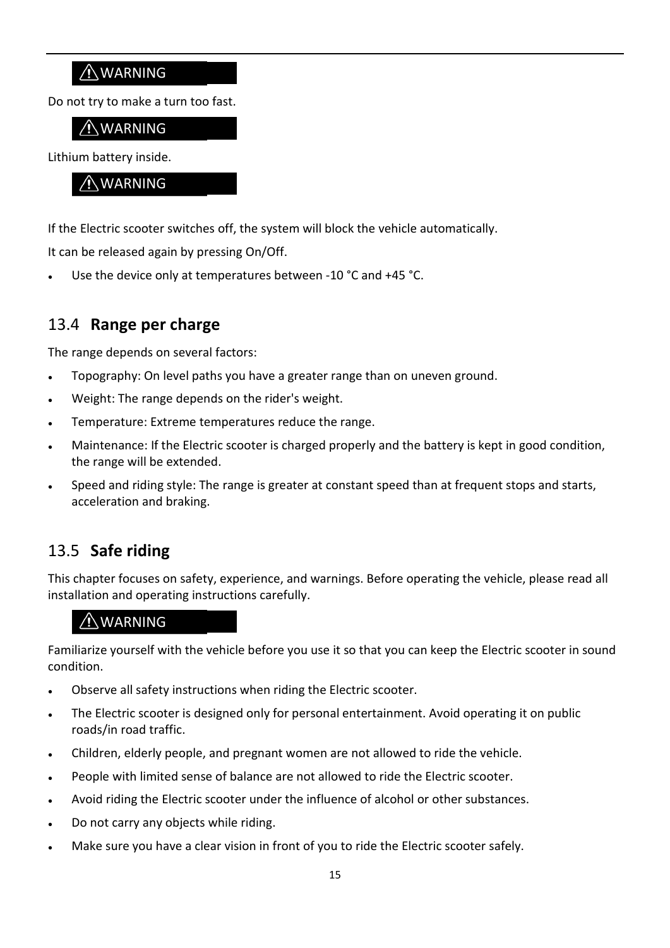### AWARNING

Do not try to make a turn too fast.

### WARNING

Lithium battery inside.

#### WARNING

If the Electric scooter switches off, the system will block the vehicle automatically.

It can be released again by pressing On/Off.

Use the device only at temperatures between -10 °C and +45 °C.

### 13.4 **Range per charge**

The range depends on several factors:

- Topography: On level paths you have a greater range than on uneven ground.
- Weight: The range depends on the rider's weight.
- Temperature: Extreme temperatures reduce the range.
- Maintenance: If the Electric scooter is charged properly and the battery is kept in good condition, the range will be extended.
- Speed and riding style: The range is greater at constant speed than at frequent stops and starts, acceleration and braking.

### 13.5 **Safe riding**

This chapter focuses on safety, experience, and warnings. Before operating the vehicle, please read all installation and operating instructions carefully.

### WARNING

Familiarize yourself with the vehicle before you use it so that you can keep the Electric scooter in sound condition.

- Observe all safety instructions when riding the Electric scooter.
- The Electric scooter is designed only for personal entertainment. Avoid operating it on public roads/in road traffic.
- Children, elderly people, and pregnant women are not allowed to ride the vehicle.
- People with limited sense of balance are not allowed to ride the Electric scooter.
- Avoid riding the Electric scooter under the influence of alcohol or other substances.
- Do not carry any objects while riding.
- Make sure you have a clear vision in front of you to ride the Electric scooter safely.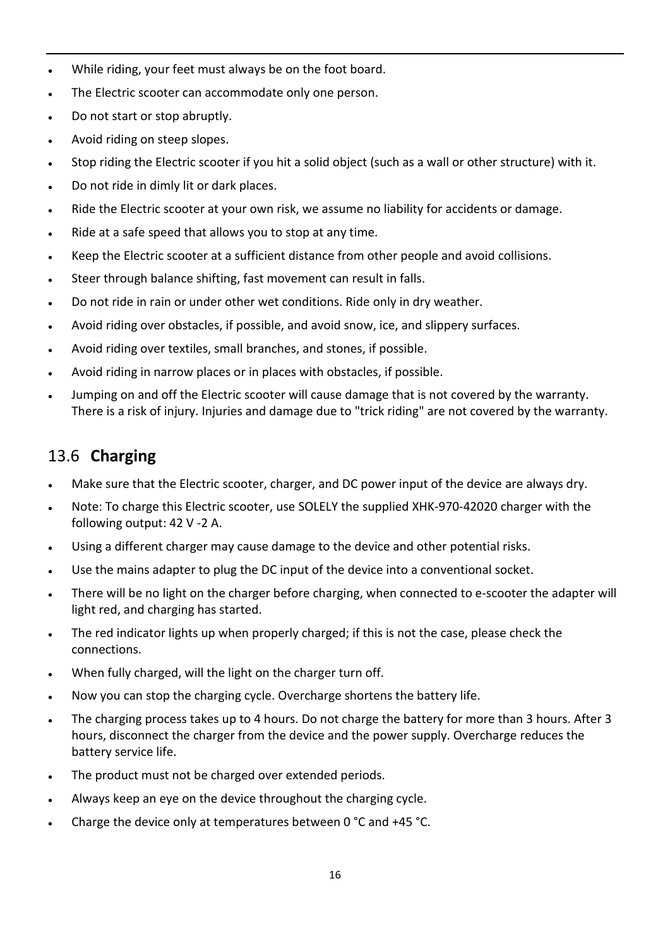- While riding, your feet must always be on the foot board.
- The Electric scooter can accommodate only one person.
- Do not start or stop abruptly.
- Avoid riding on steep slopes.
- Stop riding the Electric scooter if you hit a solid object (such as a wall or other structure) with it.
- Do not ride in dimly lit or dark places.
- Ride the Electric scooter at your own risk, we assume no liability for accidents or damage.
- Ride at a safe speed that allows you to stop at any time.
- Keep the Electric scooter at a sufficient distance from other people and avoid collisions.
- Steer through balance shifting, fast movement can result in falls.
- Do not ride in rain or under other wet conditions. Ride only in dry weather.
- Avoid riding over obstacles, if possible, and avoid snow, ice, and slippery surfaces.
- Avoid riding over textiles, small branches, and stones, if possible.
- Avoid riding in narrow places or in places with obstacles, if possible.
- Jumping on and off the Electric scooter will cause damage that is not covered by the warranty. There is a risk of injury. Injuries and damage due to "trick riding" are not covered by the warranty.

### 13.6 **Charging**

- Make sure that the Electric scooter, charger, and DC power input of the device are always dry.
- Note: To charge this Electric scooter, use SOLELY the supplied XHK-970-42020 charger with the following output: 42 V -2 A.
- Using a different charger may cause damage to the device and other potential risks.
- Use the mains adapter to plug the DC input of the device into a conventional socket.
- There will be no light on the charger before charging, when connected to e-scooter the adapter will light red, and charging has started.
- The red indicator lights up when properly charged; if this is not the case, please check the connections.
- When fully charged, will the light on the charger turn off.
- Now you can stop the charging cycle. Overcharge shortens the battery life.
- The charging process takes up to 4 hours. Do not charge the battery for more than 3 hours. After 3 hours, disconnect the charger from the device and the power supply. Overcharge reduces the battery service life.
- The product must not be charged over extended periods.
- Always keep an eye on the device throughout the charging cycle.
- Charge the device only at temperatures between 0  $^{\circ}$ C and +45  $^{\circ}$ C.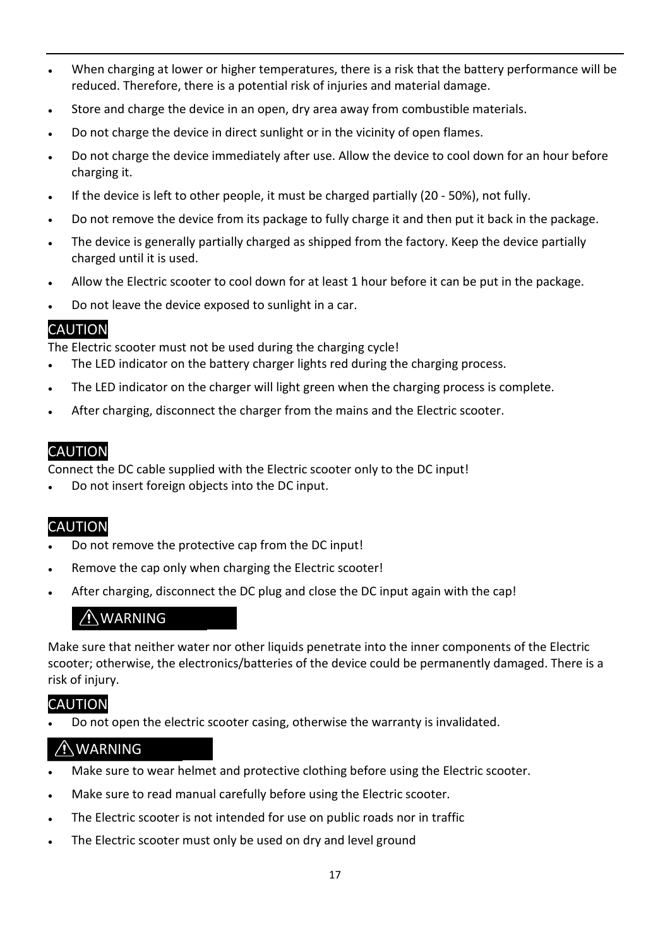- When charging at lower or higher temperatures, there is a risk that the battery performance will be reduced. Therefore, there is a potential risk of injuries and material damage.
- Store and charge the device in an open, dry area away from combustible materials.
- Do not charge the device in direct sunlight or in the vicinity of open flames.
- Do not charge the device immediately after use. Allow the device to cool down for an hour before charging it.
- If the device is left to other people, it must be charged partially (20 50%), not fully.
- Do not remove the device from its package to fully charge it and then put it back in the package.
- The device is generally partially charged as shipped from the factory. Keep the device partially charged until it is used.
- Allow the Electric scooter to cool down for at least 1 hour before it can be put in the package.
- Do not leave the device exposed to sunlight in a car.

### CAUTION

The Electric scooter must not be used during the charging cycle!

- The LED indicator on the battery charger lights red during the charging process.
- The LED indicator on the charger will light green when the charging process is complete.
- After charging, disconnect the charger from the mains and the Electric scooter.

### CAUTION

Connect the DC cable supplied with the Electric scooter only to the DC input!

Do not insert foreign objects into the DC input.

### CAUTION

- Do not remove the protective cap from the DC input!
- Remove the cap only when charging the Electric scooter!
- After charging, disconnect the DC plug and close the DC input again with the cap!

#### WARNING

Make sure that neither water nor other liquids penetrate into the inner components of the Electric scooter; otherwise, the electronics/batteries of the device could be permanently damaged. There is a risk of injury.

### CAUTION

Do not open the electric scooter casing, otherwise the warranty is invalidated.

### WARNING

- Make sure to wear helmet and protective clothing before using the Electric scooter.
- Make sure to read manual carefully before using the Electric scooter.
- The Electric scooter is not intended for use on public roads nor in traffic
- The Electric scooter must only be used on dry and level ground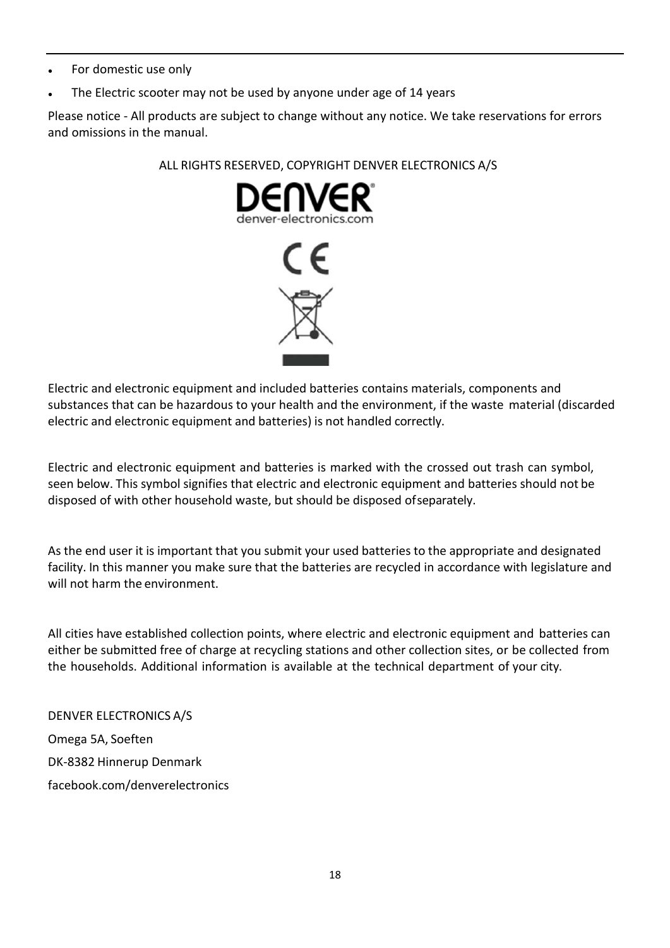- For domestic use only
- The Electric scooter may not be used by anyone under age of 14 years

Please notice - All products are subject to change without any notice. We take reservations for errors and omissions in the manual.

#### ALL RIGHTS RESERVED, COPYRIGHT DENVER ELECTRONICS A/S



Electric and electronic equipment and included batteries contains materials, components and substances that can be hazardous to your health and the environment, if the waste material (discarded electric and electronic equipment and batteries) is not handled correctly.

Electric and electronic equipment and batteries is marked with the crossed out trash can symbol, seen below. This symbol signifies that electric and electronic equipment and batteries should not be disposed of with other household waste, but should be disposed ofseparately.

As the end user it is important that you submit your used batteries to the appropriate and designated facility. In this manner you make sure that the batteries are recycled in accordance with legislature and will not harm the environment.

All cities have established collection points, where electric and electronic equipment and batteries can either be submitted free of charge at recycling stations and other collection sites, or be collected from the households. Additional information is available at the technical department of your city.

DENVER ELECTRONICS A/S Omega 5A, Soeften DK-8382 Hinnerup Denmark facebook.com/denverelectronics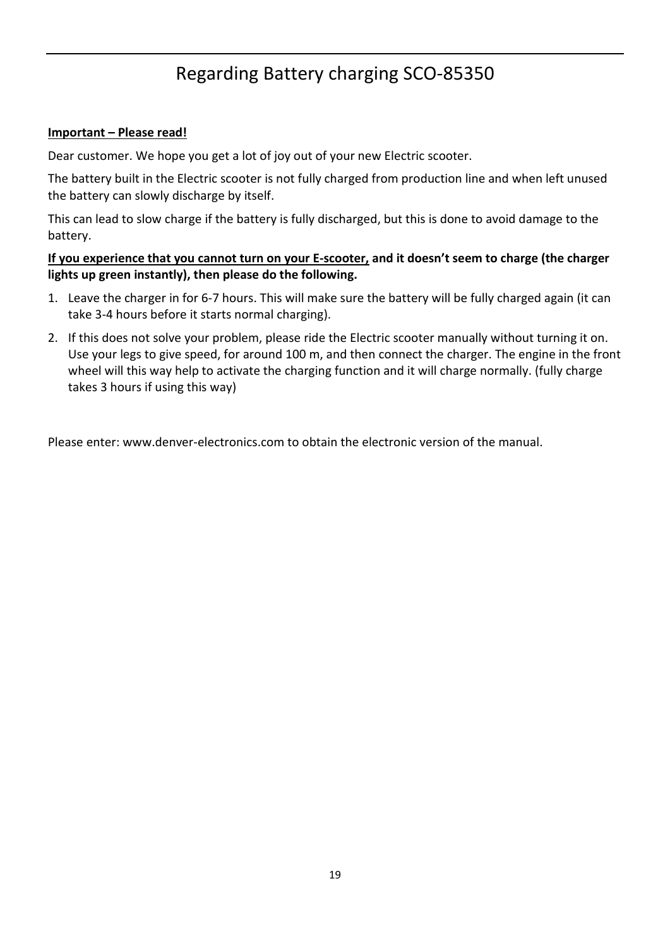### Regarding Battery charging SCO-85350

#### **Important – Please read!**

Dear customer. We hope you get a lot of joy out of your new Electric scooter.

The battery built in the Electric scooter is not fully charged from production line and when left unused the battery can slowly discharge by itself.

This can lead to slow charge if the battery is fully discharged, but this is done to avoid damage to the battery.

#### **If you experience that you cannot turn on your E-scooter, and it doesn't seem to charge (the charger lights up green instantly), then please do the following.**

- 1. Leave the charger in for 6-7 hours. This will make sure the battery will be fully charged again (it can take 3-4 hours before it starts normal charging).
- 2. If this does not solve your problem, please ride the Electric scooter manually without turning it on. Use your legs to give speed, for around 100 m, and then connect the charger. The engine in the front wheel will this way help to activate the charging function and it will charge normally. (fully charge takes 3 hours if using this way)

Please enter: www.denver-electronics.com to obtain the electronic version of the manual.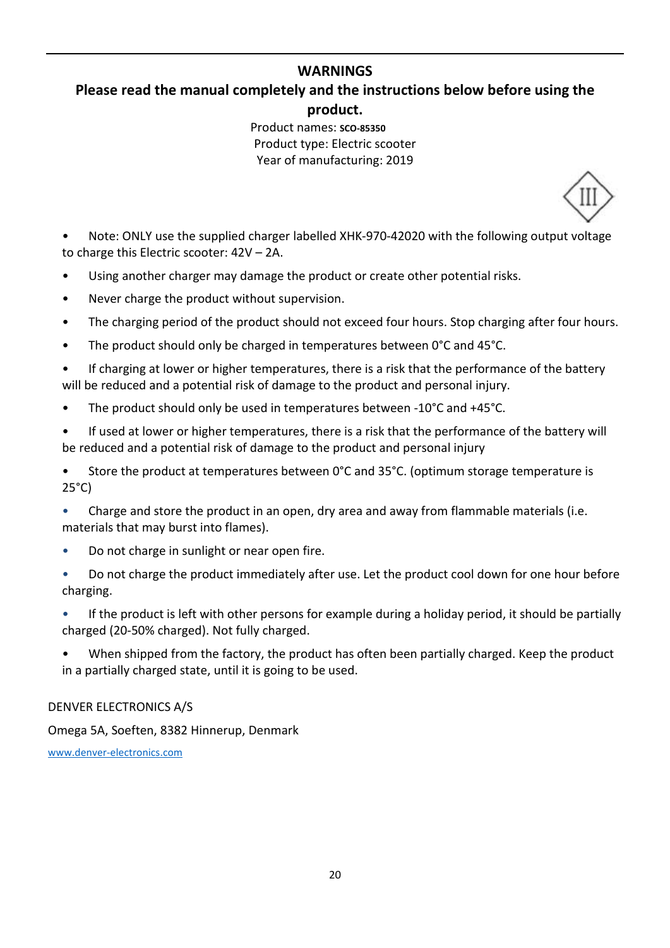#### **WARNINGS**

### **Please read the manual completely and the instructions below before using the product.**

Product names: **SCO-85350** Product type: Electric scooter Year of manufacturing: 2019

• Note: ONLY use the supplied charger labelled XHK-970-42020 with the following output voltage to charge this Electric scooter: 42V – 2A.

- Using another charger may damage the product or create other potential risks.
- Never charge the product without supervision.
- The charging period of the product should not exceed four hours. Stop charging after four hours.
- The product should only be charged in temperatures between 0°C and 45°C.
- If charging at lower or higher temperatures, there is a risk that the performance of the battery will be reduced and a potential risk of damage to the product and personal injury.
- The product should only be used in temperatures between -10°C and +45°C.
- If used at lower or higher temperatures, there is a risk that the performance of the battery will be reduced and a potential risk of damage to the product and personal injury
- Store the product at temperatures between 0°C and 35°C. (optimum storage temperature is 25°C)
- Charge and store the product in an open, dry area and away from flammable materials (i.e. materials that may burst into flames).
- Do not charge in sunlight or near open fire.
- Do not charge the product immediately after use. Let the product cool down for one hour before charging.
- If the product is left with other persons for example during a holiday period, it should be partially charged (20-50% charged). Not fully charged.
- When shipped from the factory, the product has often been partially charged. Keep the product in a partially charged state, until it is going to be used.

#### DENVER ELECTRONICS A/S

Omega 5A, Soeften, 8382 Hinnerup, Denmark

www.denver-electronics.com